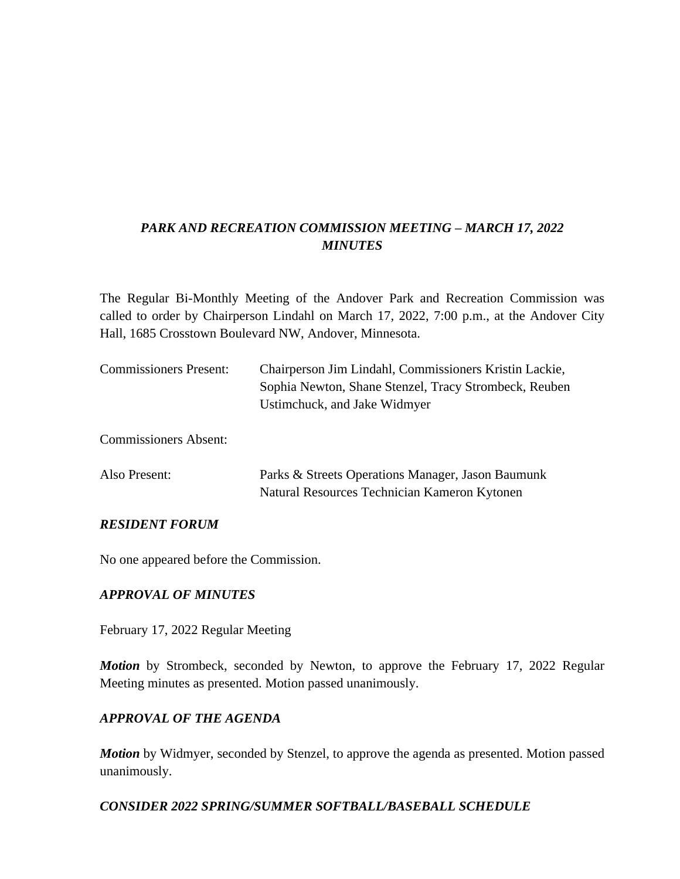# *PARK AND RECREATION COMMISSION MEETING – MARCH 17, 2022 MINUTES*

The Regular Bi-Monthly Meeting of the Andover Park and Recreation Commission was called to order by Chairperson Lindahl on March 17, 2022, 7:00 p.m., at the Andover City Hall, 1685 Crosstown Boulevard NW, Andover, Minnesota.

| <b>Commissioners Present:</b> | Chairperson Jim Lindahl, Commissioners Kristin Lackie,<br>Sophia Newton, Shane Stenzel, Tracy Strombeck, Reuben<br>Ustimchuck, and Jake Widmyer |
|-------------------------------|-------------------------------------------------------------------------------------------------------------------------------------------------|
| <b>Commissioners Absent:</b>  |                                                                                                                                                 |
| Also Present:                 | Parks & Streets Operations Manager, Jason Baumunk<br>Natural Resources Technician Kameron Kytonen                                               |

#### *RESIDENT FORUM*

No one appeared before the Commission.

#### *APPROVAL OF MINUTES*

February 17, 2022 Regular Meeting

*Motion* by Strombeck, seconded by Newton, to approve the February 17, 2022 Regular Meeting minutes as presented. Motion passed unanimously.

#### *APPROVAL OF THE AGENDA*

*Motion* by Widmyer, seconded by Stenzel, to approve the agenda as presented. Motion passed unanimously.

#### *CONSIDER 2022 SPRING/SUMMER SOFTBALL/BASEBALL SCHEDULE*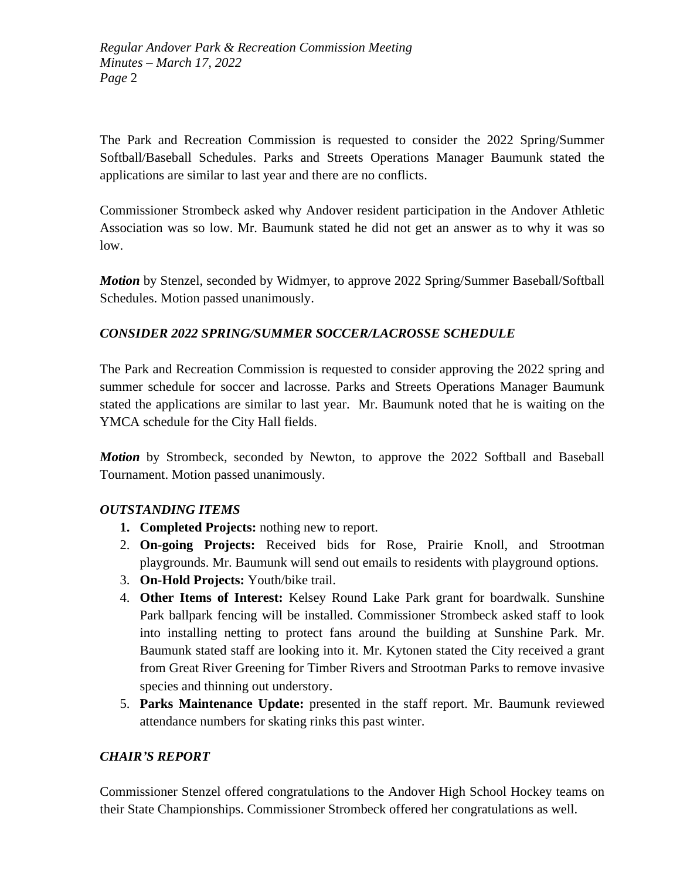*Regular Andover Park & Recreation Commission Meeting Minutes – March 17, 2022 Page* 2

The Park and Recreation Commission is requested to consider the 2022 Spring/Summer Softball/Baseball Schedules. Parks and Streets Operations Manager Baumunk stated the applications are similar to last year and there are no conflicts.

Commissioner Strombeck asked why Andover resident participation in the Andover Athletic Association was so low. Mr. Baumunk stated he did not get an answer as to why it was so low.

*Motion* by Stenzel, seconded by Widmyer, to approve 2022 Spring/Summer Baseball/Softball Schedules. Motion passed unanimously.

## *CONSIDER 2022 SPRING/SUMMER SOCCER/LACROSSE SCHEDULE*

The Park and Recreation Commission is requested to consider approving the 2022 spring and summer schedule for soccer and lacrosse. Parks and Streets Operations Manager Baumunk stated the applications are similar to last year. Mr. Baumunk noted that he is waiting on the YMCA schedule for the City Hall fields.

*Motion* by Strombeck, seconded by Newton, to approve the 2022 Softball and Baseball Tournament. Motion passed unanimously.

## *OUTSTANDING ITEMS*

- **1. Completed Projects:** nothing new to report.
- 2. **On-going Projects:** Received bids for Rose, Prairie Knoll, and Strootman playgrounds. Mr. Baumunk will send out emails to residents with playground options.
- 3. **On-Hold Projects:** Youth/bike trail.
- 4. **Other Items of Interest:** Kelsey Round Lake Park grant for boardwalk. Sunshine Park ballpark fencing will be installed. Commissioner Strombeck asked staff to look into installing netting to protect fans around the building at Sunshine Park. Mr. Baumunk stated staff are looking into it. Mr. Kytonen stated the City received a grant from Great River Greening for Timber Rivers and Strootman Parks to remove invasive species and thinning out understory.
- 5. **Parks Maintenance Update:** presented in the staff report. Mr. Baumunk reviewed attendance numbers for skating rinks this past winter.

## *CHAIR'S REPORT*

Commissioner Stenzel offered congratulations to the Andover High School Hockey teams on their State Championships. Commissioner Strombeck offered her congratulations as well.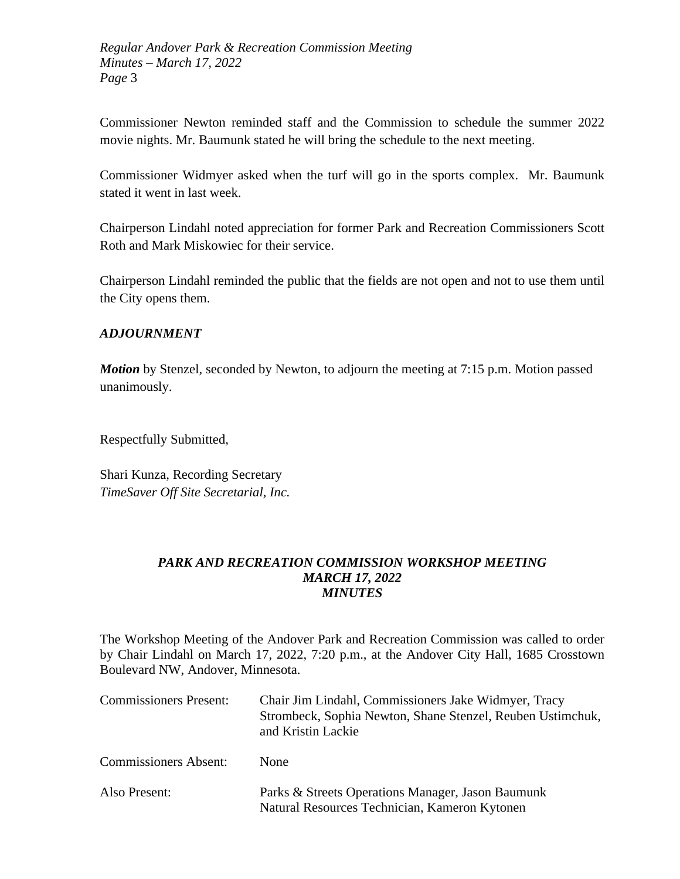*Regular Andover Park & Recreation Commission Meeting Minutes – March 17, 2022 Page* 3

Commissioner Newton reminded staff and the Commission to schedule the summer 2022 movie nights. Mr. Baumunk stated he will bring the schedule to the next meeting.

Commissioner Widmyer asked when the turf will go in the sports complex. Mr. Baumunk stated it went in last week.

Chairperson Lindahl noted appreciation for former Park and Recreation Commissioners Scott Roth and Mark Miskowiec for their service.

Chairperson Lindahl reminded the public that the fields are not open and not to use them until the City opens them.

## *ADJOURNMENT*

*Motion* by Stenzel, seconded by Newton, to adjourn the meeting at 7:15 p.m. Motion passed unanimously.

Respectfully Submitted,

Shari Kunza, Recording Secretary *TimeSaver Off Site Secretarial, Inc.*

## *PARK AND RECREATION COMMISSION WORKSHOP MEETING MARCH 17, 2022 MINUTES*

The Workshop Meeting of the Andover Park and Recreation Commission was called to order by Chair Lindahl on March 17, 2022, 7:20 p.m., at the Andover City Hall, 1685 Crosstown Boulevard NW, Andover, Minnesota.

| <b>Commissioners Present:</b> | Chair Jim Lindahl, Commissioners Jake Widmyer, Tracy<br>Strombeck, Sophia Newton, Shane Stenzel, Reuben Ustimchuk,<br>and Kristin Lackie |
|-------------------------------|------------------------------------------------------------------------------------------------------------------------------------------|
| <b>Commissioners Absent:</b>  | <b>None</b>                                                                                                                              |
| Also Present:                 | Parks & Streets Operations Manager, Jason Baumunk<br>Natural Resources Technician, Kameron Kytonen                                       |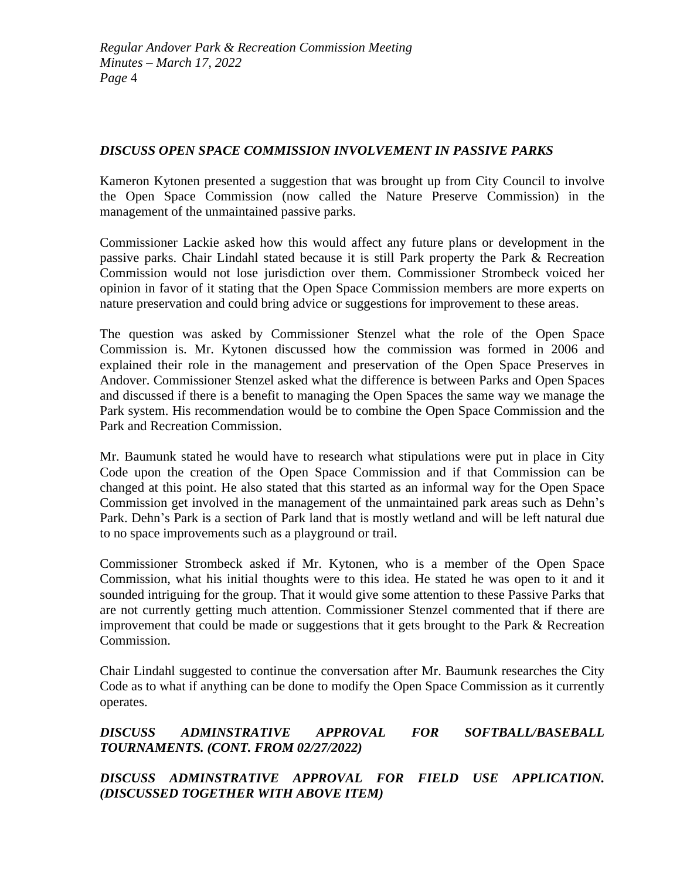## *DISCUSS OPEN SPACE COMMISSION INVOLVEMENT IN PASSIVE PARKS*

Kameron Kytonen presented a suggestion that was brought up from City Council to involve the Open Space Commission (now called the Nature Preserve Commission) in the management of the unmaintained passive parks.

Commissioner Lackie asked how this would affect any future plans or development in the passive parks. Chair Lindahl stated because it is still Park property the Park & Recreation Commission would not lose jurisdiction over them. Commissioner Strombeck voiced her opinion in favor of it stating that the Open Space Commission members are more experts on nature preservation and could bring advice or suggestions for improvement to these areas.

The question was asked by Commissioner Stenzel what the role of the Open Space Commission is. Mr. Kytonen discussed how the commission was formed in 2006 and explained their role in the management and preservation of the Open Space Preserves in Andover. Commissioner Stenzel asked what the difference is between Parks and Open Spaces and discussed if there is a benefit to managing the Open Spaces the same way we manage the Park system. His recommendation would be to combine the Open Space Commission and the Park and Recreation Commission.

Mr. Baumunk stated he would have to research what stipulations were put in place in City Code upon the creation of the Open Space Commission and if that Commission can be changed at this point. He also stated that this started as an informal way for the Open Space Commission get involved in the management of the unmaintained park areas such as Dehn's Park. Dehn's Park is a section of Park land that is mostly wetland and will be left natural due to no space improvements such as a playground or trail.

Commissioner Strombeck asked if Mr. Kytonen, who is a member of the Open Space Commission, what his initial thoughts were to this idea. He stated he was open to it and it sounded intriguing for the group. That it would give some attention to these Passive Parks that are not currently getting much attention. Commissioner Stenzel commented that if there are improvement that could be made or suggestions that it gets brought to the Park & Recreation Commission.

Chair Lindahl suggested to continue the conversation after Mr. Baumunk researches the City Code as to what if anything can be done to modify the Open Space Commission as it currently operates.

*DISCUSS ADMINSTRATIVE APPROVAL FOR SOFTBALL/BASEBALL TOURNAMENTS. (CONT. FROM 02/27/2022)* 

## *DISCUSS ADMINSTRATIVE APPROVAL FOR FIELD USE APPLICATION. (DISCUSSED TOGETHER WITH ABOVE ITEM)*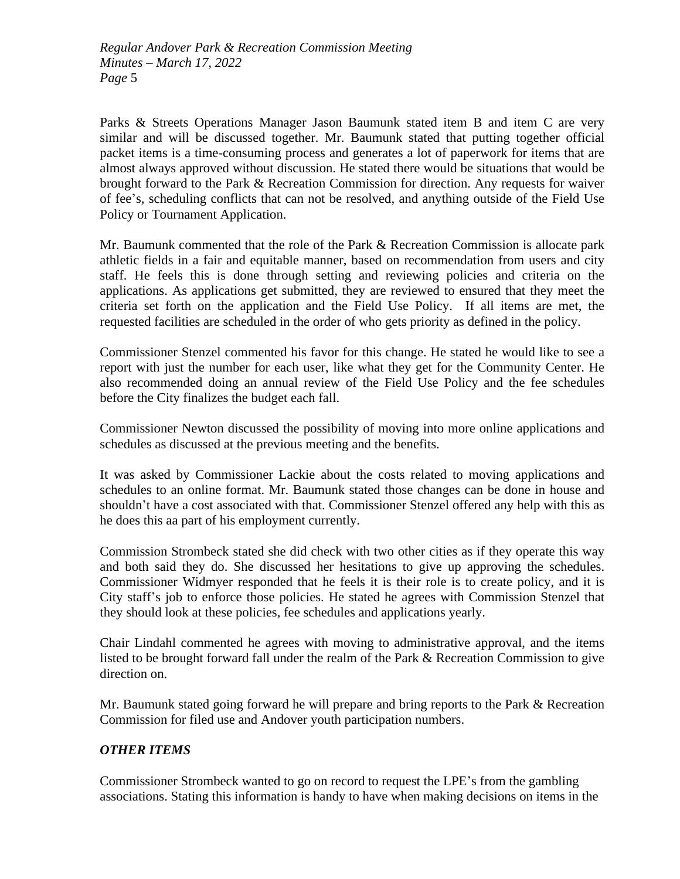Parks & Streets Operations Manager Jason Baumunk stated item B and item C are very similar and will be discussed together. Mr. Baumunk stated that putting together official packet items is a time-consuming process and generates a lot of paperwork for items that are almost always approved without discussion. He stated there would be situations that would be brought forward to the Park & Recreation Commission for direction. Any requests for waiver of fee's, scheduling conflicts that can not be resolved, and anything outside of the Field Use Policy or Tournament Application.

Mr. Baumunk commented that the role of the Park & Recreation Commission is allocate park athletic fields in a fair and equitable manner, based on recommendation from users and city staff. He feels this is done through setting and reviewing policies and criteria on the applications. As applications get submitted, they are reviewed to ensured that they meet the criteria set forth on the application and the Field Use Policy. If all items are met, the requested facilities are scheduled in the order of who gets priority as defined in the policy.

Commissioner Stenzel commented his favor for this change. He stated he would like to see a report with just the number for each user, like what they get for the Community Center. He also recommended doing an annual review of the Field Use Policy and the fee schedules before the City finalizes the budget each fall.

Commissioner Newton discussed the possibility of moving into more online applications and schedules as discussed at the previous meeting and the benefits.

It was asked by Commissioner Lackie about the costs related to moving applications and schedules to an online format. Mr. Baumunk stated those changes can be done in house and shouldn't have a cost associated with that. Commissioner Stenzel offered any help with this as he does this aa part of his employment currently.

Commission Strombeck stated she did check with two other cities as if they operate this way and both said they do. She discussed her hesitations to give up approving the schedules. Commissioner Widmyer responded that he feels it is their role is to create policy, and it is City staff's job to enforce those policies. He stated he agrees with Commission Stenzel that they should look at these policies, fee schedules and applications yearly.

Chair Lindahl commented he agrees with moving to administrative approval, and the items listed to be brought forward fall under the realm of the Park & Recreation Commission to give direction on.

Mr. Baumunk stated going forward he will prepare and bring reports to the Park & Recreation Commission for filed use and Andover youth participation numbers.

## *OTHER ITEMS*

Commissioner Strombeck wanted to go on record to request the LPE's from the gambling associations. Stating this information is handy to have when making decisions on items in the